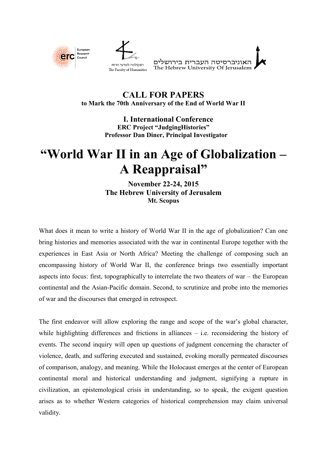

## **CALL FOR PAPERS to Mark the 70th Anniversary of the End of World War II**

Europear **Research** Counci

> **I. International Conference ERC Project "JudgingHistories" Professor Dan Diner, Principal Investigator**

## **"World War II in an Age of Globalization – A Reappraisal"**

**November 22-24, 2015 The Hebrew University of Jerusalem Mt. Scopus**

What does it mean to write a history of World War II in the age of globalization? Can one bring histories and memories associated with the war in continental Europe together with the experiences in East Asia or North Africa? Meeting the challenge of composing such an encompassing history of World War II, the conference brings two essentially important aspects into focus: first, topographically to interrelate the two theaters of war – the European continental and the Asian-Pacific domain. Second, to scrutinize and probe into the memories of war and the discourses that emerged in retrospect.

The first endeavor will allow exploring the range and scope of the war's global character, while highlighting differences and frictions in alliances – i.e. reconsidering the history of events. The second inquiry will open up questions of judgment concerning the character of violence, death, and suffering executed and sustained, evoking morally permeated discourses of comparison, analogy, and meaning. While the Holocaust emerges at the center of European continental moral and historical understanding and judgment, signifying a rupture in civilization, an epistemological crisis in understanding, so to speak, the exigent question arises as to whether Western categories of historical comprehension may claim universal validity.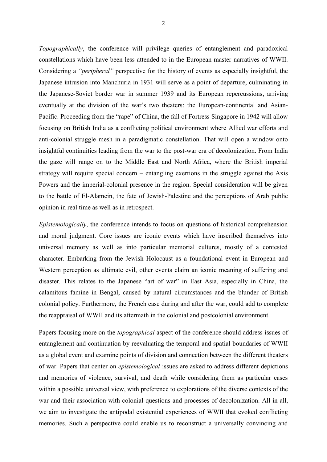*Topographically*, the conference will privilege queries of entanglement and paradoxical constellations which have been less attended to in the European master narratives of WWII. Considering a *"peripheral"* perspective for the history of events as especially insightful, the Japanese intrusion into Manchuria in 1931 will serve as a point of departure, culminating in the Japanese-Soviet border war in summer 1939 and its European repercussions, arriving eventually at the division of the war's two theaters: the European-continental and Asian- Pacific. Proceeding from the "rape" of China, the fall of Fortress Singapore in 1942 will allow focusing on British India as a conflicting political environment where Allied war efforts and anti-colonial struggle mesh in a paradigmatic constellation. That will open a window onto insightful continuities leading from the war to the post-war era of decolonization. From India the gaze will range on to the Middle East and North Africa, where the British imperial strategy will require special concern – entangling exertions in the struggle against the Axis Powers and the imperial-colonial presence in the region. Special consideration will be given to the battle of El-Alamein, the fate of Jewish-Palestine and the perceptions of Arab public opinion in real time as well as in retrospect.

*Epistemologically*, the conference intends to focus on questions of historical comprehension and moral judgment. Core issues are iconic events which have inscribed themselves into universal memory as well as into particular memorial cultures, mostly of a contested character. Embarking from the Jewish Holocaust as a foundational event in European and Western perception as ultimate evil, other events claim an iconic meaning of suffering and disaster. This relates to the Japanese "art of war" in East Asia, especially in China, the calamitous famine in Bengal, caused by natural circumstances and the blunder of British colonial policy. Furthermore, the French case during and after the war, could add to complete the reappraisal of WWII and its aftermath in the colonial and postcolonial environment.

Papers focusing more on the *topographical* aspect of the conference should address issues of entanglement and continuation by reevaluating the temporal and spatial boundaries of WWII as a global event and examine points of division and connection between the different theaters of war. Papers that center on *epistemological* issues are asked to address different depictions and memories of violence, survival, and death while considering them as particular cases within a possible universal view, with preference to explorations of the diverse contexts of the war and their association with colonial questions and processes of decolonization. All in all, we aim to investigate the antipodal existential experiences of WWII that evoked conflicting memories. Such a perspective could enable us to reconstruct a universally convincing and